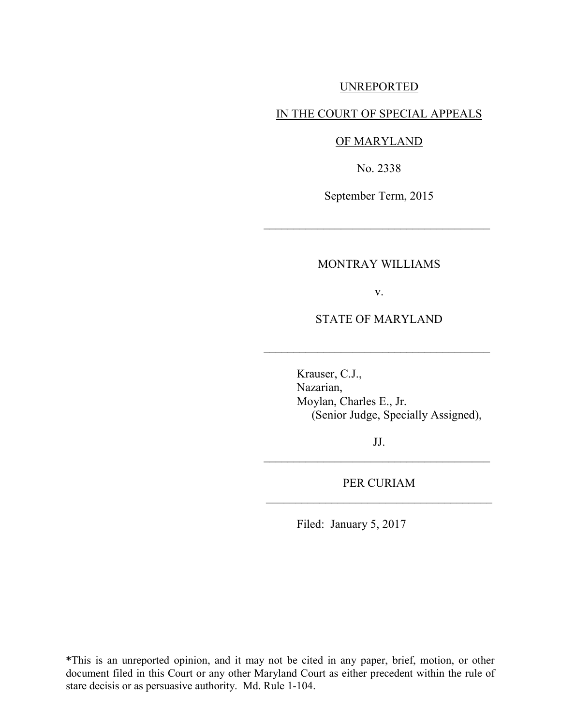## UNREPORTED

## IN THE COURT OF SPECIAL APPEALS

## OF MARYLAND

No. 2338

September Term, 2015

 $\mathcal{L}_\text{max}$  , where  $\mathcal{L}_\text{max}$  , we are the set of the set of the set of the set of the set of the set of the set of the set of the set of the set of the set of the set of the set of the set of the set of the set of

## MONTRAY WILLIAMS

v.

STATE OF MARYLAND

 $\frac{1}{2}$  ,  $\frac{1}{2}$  ,  $\frac{1}{2}$  ,  $\frac{1}{2}$  ,  $\frac{1}{2}$  ,  $\frac{1}{2}$  ,  $\frac{1}{2}$  ,  $\frac{1}{2}$  ,  $\frac{1}{2}$  ,  $\frac{1}{2}$  ,  $\frac{1}{2}$  ,  $\frac{1}{2}$  ,  $\frac{1}{2}$  ,  $\frac{1}{2}$  ,  $\frac{1}{2}$  ,  $\frac{1}{2}$  ,  $\frac{1}{2}$  ,  $\frac{1}{2}$  ,  $\frac{1$ 

 Krauser, C.J., Nazarian, Moylan, Charles E., Jr. (Senior Judge, Specially Assigned),

JJ.  $\frac{1}{2}$  ,  $\frac{1}{2}$  ,  $\frac{1}{2}$  ,  $\frac{1}{2}$  ,  $\frac{1}{2}$  ,  $\frac{1}{2}$  ,  $\frac{1}{2}$  ,  $\frac{1}{2}$  ,  $\frac{1}{2}$  ,  $\frac{1}{2}$  ,  $\frac{1}{2}$  ,  $\frac{1}{2}$  ,  $\frac{1}{2}$  ,  $\frac{1}{2}$  ,  $\frac{1}{2}$  ,  $\frac{1}{2}$  ,  $\frac{1}{2}$  ,  $\frac{1}{2}$  ,  $\frac{1$ 

PER CURIAM \_\_\_\_\_\_\_\_\_\_\_\_\_\_\_\_\_\_\_\_\_\_\_\_\_\_\_\_\_\_\_\_\_\_\_\_\_\_

Filed: January 5, 2017

**\***This is an unreported opinion, and it may not be cited in any paper, brief, motion, or other document filed in this Court or any other Maryland Court as either precedent within the rule of stare decisis or as persuasive authority. Md. Rule 1-104.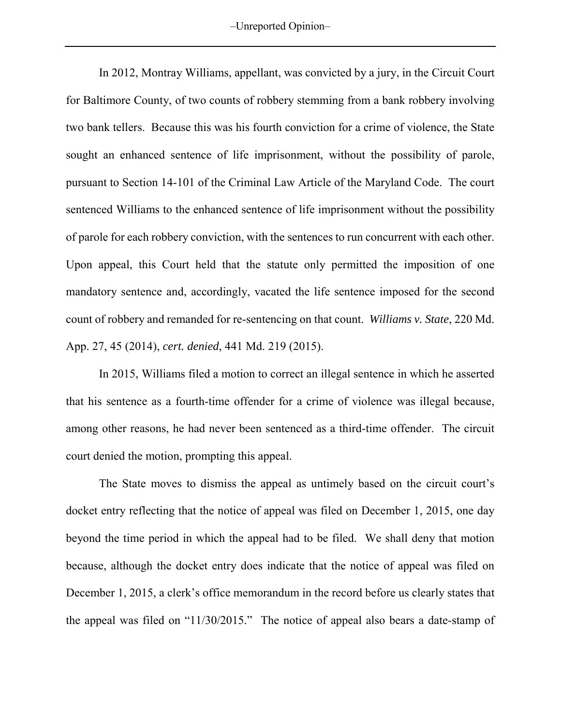‒Unreported Opinion‒

In 2012, Montray Williams, appellant, was convicted by a jury, in the Circuit Court for Baltimore County, of two counts of robbery stemming from a bank robbery involving two bank tellers. Because this was his fourth conviction for a crime of violence, the State sought an enhanced sentence of life imprisonment, without the possibility of parole, pursuant to Section 14-101 of the Criminal Law Article of the Maryland Code. The court sentenced Williams to the enhanced sentence of life imprisonment without the possibility of parole for each robbery conviction, with the sentences to run concurrent with each other. Upon appeal, this Court held that the statute only permitted the imposition of one mandatory sentence and, accordingly, vacated the life sentence imposed for the second count of robbery and remanded for re-sentencing on that count. *Williams v. State*, 220 Md. App. 27, 45 (2014), *cert. denied*, 441 Md. 219 (2015).

In 2015, Williams filed a motion to correct an illegal sentence in which he asserted that his sentence as a fourth-time offender for a crime of violence was illegal because, among other reasons, he had never been sentenced as a third-time offender. The circuit court denied the motion, prompting this appeal.

The State moves to dismiss the appeal as untimely based on the circuit court's docket entry reflecting that the notice of appeal was filed on December 1, 2015, one day beyond the time period in which the appeal had to be filed. We shall deny that motion because, although the docket entry does indicate that the notice of appeal was filed on December 1, 2015, a clerk's office memorandum in the record before us clearly states that the appeal was filed on "11/30/2015." The notice of appeal also bears a date-stamp of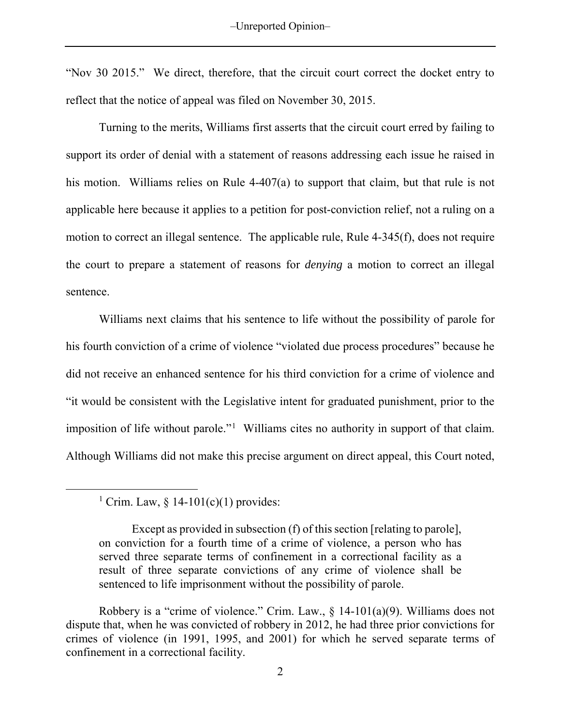"Nov 30 2015." We direct, therefore, that the circuit court correct the docket entry to reflect that the notice of appeal was filed on November 30, 2015.

Turning to the merits, Williams first asserts that the circuit court erred by failing to support its order of denial with a statement of reasons addressing each issue he raised in his motion. Williams relies on Rule 4-407(a) to support that claim, but that rule is not applicable here because it applies to a petition for post-conviction relief, not a ruling on a motion to correct an illegal sentence. The applicable rule, Rule 4-345(f), does not require the court to prepare a statement of reasons for *denying* a motion to correct an illegal sentence.

Williams next claims that his sentence to life without the possibility of parole for his fourth conviction of a crime of violence "violated due process procedures" because he did not receive an enhanced sentence for his third conviction for a crime of violence and "it would be consistent with the Legislative intent for graduated punishment, prior to the imposition of life without parole."<sup>[1](#page-2-0)</sup> Williams cites no authority in support of that claim. Although Williams did not make this precise argument on direct appeal, this Court noted,

<span id="page-2-0"></span> $\overline{a}$ 

<sup>&</sup>lt;sup>1</sup> Crim. Law,  $§$  14-101(c)(1) provides:

Except as provided in subsection (f) of this section [relating to parole], on conviction for a fourth time of a crime of violence, a person who has served three separate terms of confinement in a correctional facility as a result of three separate convictions of any crime of violence shall be sentenced to life imprisonment without the possibility of parole.

Robbery is a "crime of violence." Crim. Law.,  $\S$  14-101(a)(9). Williams does not dispute that, when he was convicted of robbery in 2012, he had three prior convictions for crimes of violence (in 1991, 1995, and 2001) for which he served separate terms of confinement in a correctional facility.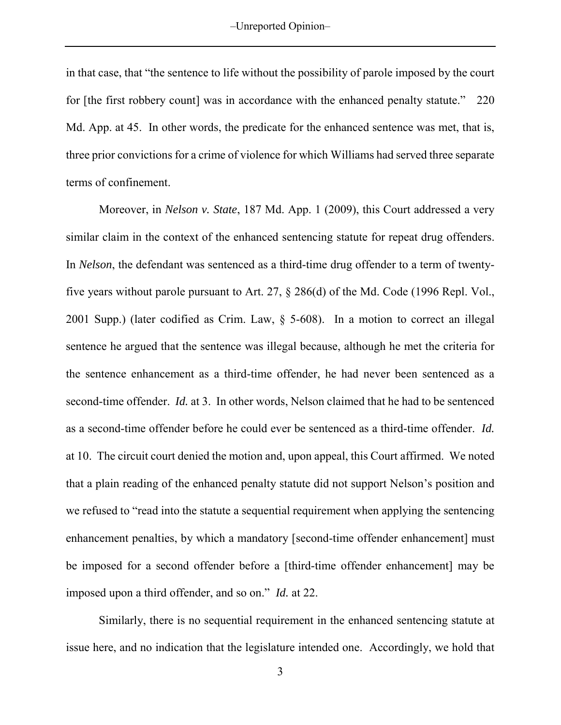in that case, that "the sentence to life without the possibility of parole imposed by the court for [the first robbery count] was in accordance with the enhanced penalty statute." 220 Md. App. at 45. In other words, the predicate for the enhanced sentence was met, that is, three prior convictions for a crime of violence for which Williams had served three separate terms of confinement.

Moreover, in *Nelson v. State*, 187 Md. App. 1 (2009), this Court addressed a very similar claim in the context of the enhanced sentencing statute for repeat drug offenders. In *Nelson*, the defendant was sentenced as a third-time drug offender to a term of twentyfive years without parole pursuant to Art. 27, § 286(d) of the Md. Code (1996 Repl. Vol., 2001 Supp.) (later codified as Crim. Law, § 5-608). In a motion to correct an illegal sentence he argued that the sentence was illegal because, although he met the criteria for the sentence enhancement as a third-time offender, he had never been sentenced as a second-time offender. *Id.* at 3. In other words, Nelson claimed that he had to be sentenced as a second-time offender before he could ever be sentenced as a third-time offender. *Id.* at 10. The circuit court denied the motion and, upon appeal, this Court affirmed. We noted that a plain reading of the enhanced penalty statute did not support Nelson's position and we refused to "read into the statute a sequential requirement when applying the sentencing enhancement penalties, by which a mandatory [second-time offender enhancement] must be imposed for a second offender before a [third-time offender enhancement] may be imposed upon a third offender, and so on." *Id.* at 22.

Similarly, there is no sequential requirement in the enhanced sentencing statute at issue here, and no indication that the legislature intended one. Accordingly, we hold that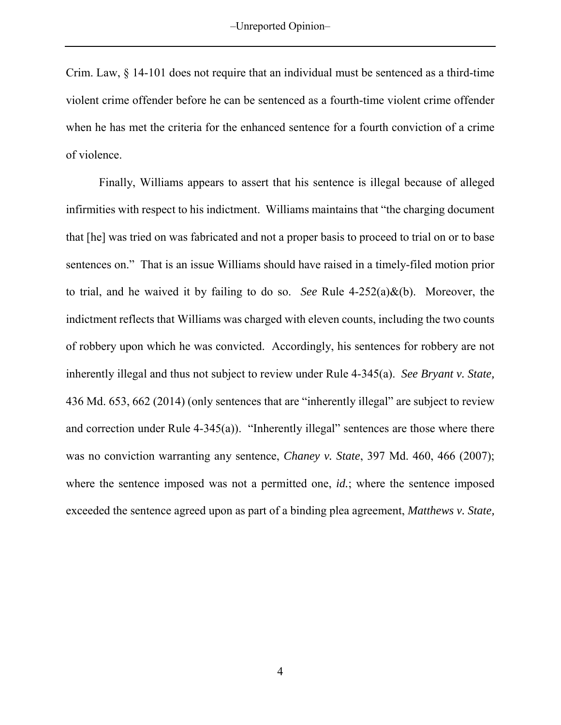Crim. Law, § 14-101 does not require that an individual must be sentenced as a third-time violent crime offender before he can be sentenced as a fourth-time violent crime offender when he has met the criteria for the enhanced sentence for a fourth conviction of a crime of violence.

Finally, Williams appears to assert that his sentence is illegal because of alleged infirmities with respect to his indictment. Williams maintains that "the charging document that [he] was tried on was fabricated and not a proper basis to proceed to trial on or to base sentences on." That is an issue Williams should have raised in a timely-filed motion prior to trial, and he waived it by failing to do so. *See* Rule 4-252(a)&(b). Moreover, the indictment reflects that Williams was charged with eleven counts, including the two counts of robbery upon which he was convicted. Accordingly, his sentences for robbery are not inherently illegal and thus not subject to review under Rule 4-345(a). *See Bryant v. State,* 436 Md. 653, 662 (2014) (only sentences that are "inherently illegal" are subject to review and correction under Rule 4-345(a)). "Inherently illegal" sentences are those where there was no conviction warranting any sentence, *Chaney v. State*, 397 Md. 460, 466 (2007); where the sentence imposed was not a permitted one, *id.*; where the sentence imposed exceeded the sentence agreed upon as part of a binding plea agreement, *Matthews v. State,*